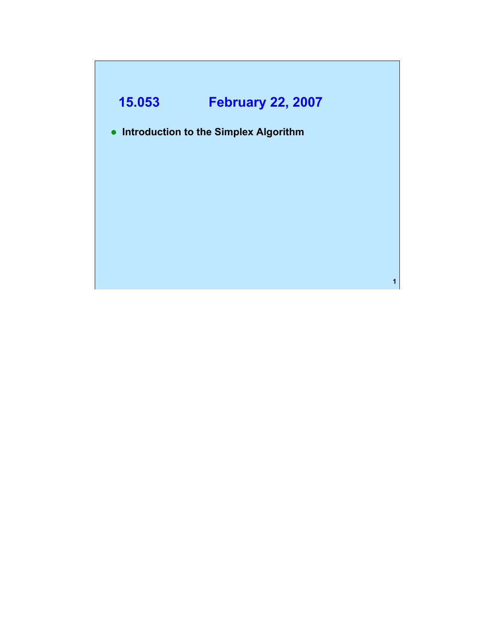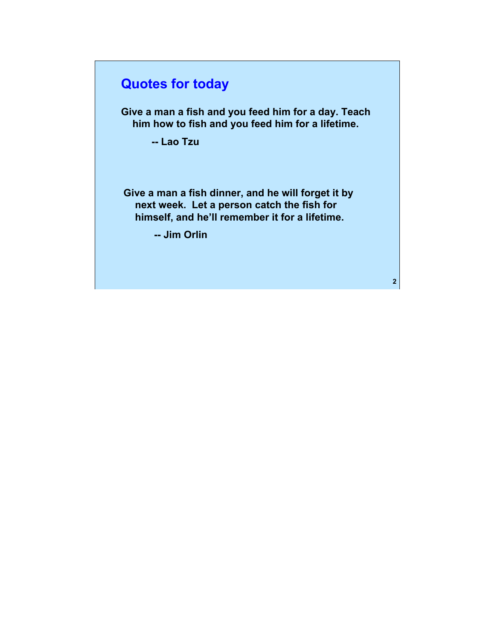# **Quotes for today**

**Give a man a fish and you feed him for a day. Teach him how to fish and you feed him for a lifetime.** 

**-- Lao Tzu** 

**Give a man a fish dinner, and he will forget it by next week. Let a person catch the fish for himself, and he'll remember it for a lifetime.** 

**-- Jim Orlin**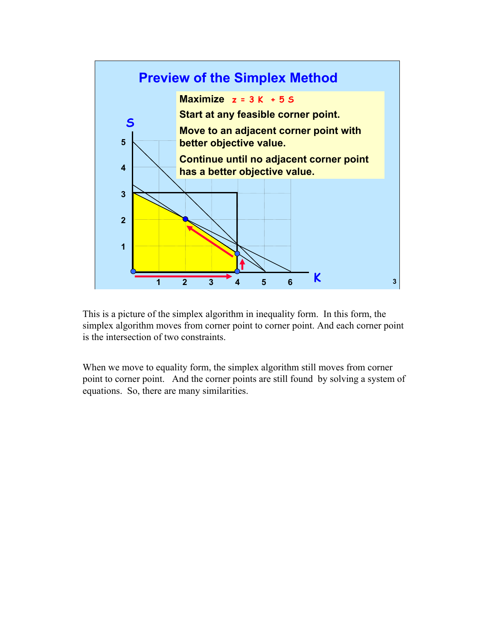

This is a picture of the simplex algorithm in inequality form. In this form, the simplex algorithm moves from corner point to corner point. And each corner point is the intersection of two constraints.

When we move to equality form, the simplex algorithm still moves from corner point to corner point. And the corner points are still found by solving a system of equations. So, there are many similarities.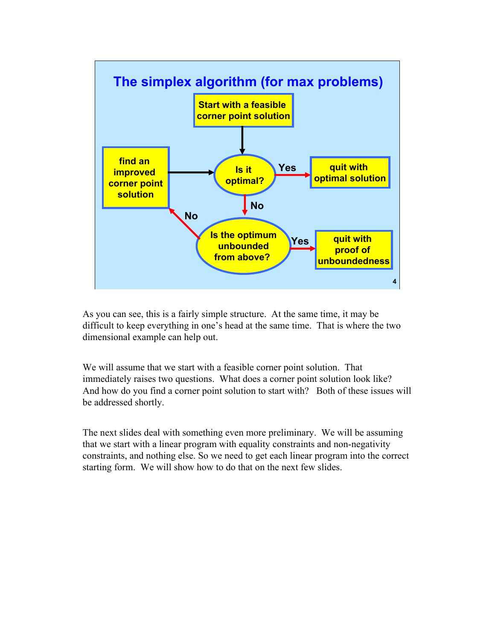

As you can see, this is a fairly simple structure. At the same time, it may be difficult to keep everything in one's head at the same time. That is where the two dimensional example can help out.

We will assume that we start with a feasible corner point solution. That immediately raises two questions. What does a corner point solution look like? And how do you find a corner point solution to start with? Both of these issues will be addressed shortly.

The next slides deal with something even more preliminary. We will be assuming that we start with a linear program with equality constraints and non-negativity constraints, and nothing else. So we need to get each linear program into the correct starting form. We will show how to do that on the next few slides.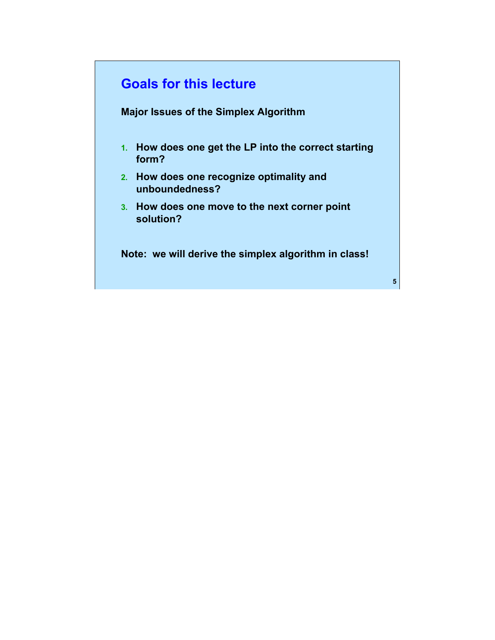# **Goals for this lecture**

**Major Issues of the Simplex Algorithm** 

- **1. How does one get the LP into the correct starting form?**
- **2. How does one recognize optimality and unboundedness?**
- **3. How does one move to the next corner point solution?**

**Note: we will derive the simplex algorithm in class!**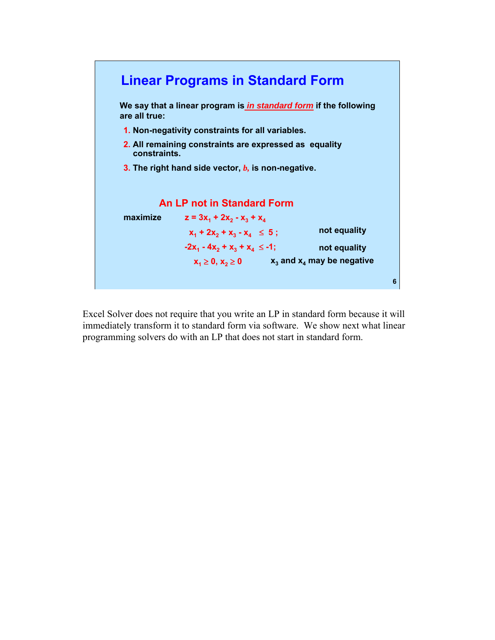

Excel Solver does not require that you write an LP in standard form because it will immediately transform it to standard form via software. We show next what linear programming solvers do with an LP that does not start in standard form.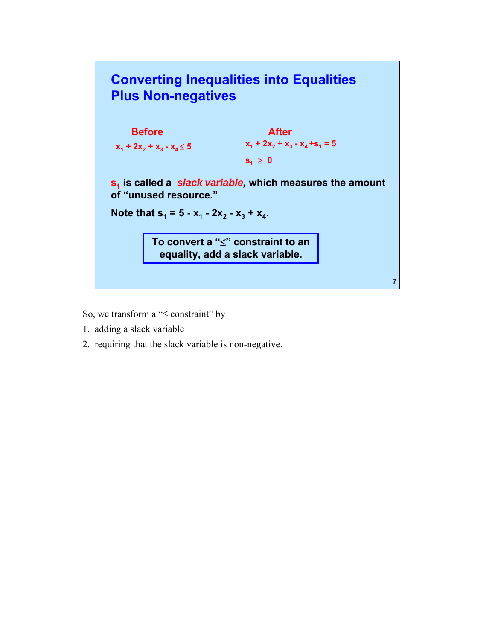

- So, we transform a "≤ constraint" by
- 1. adding a slack variable
- 2. requiring that the slack variable is non-negative.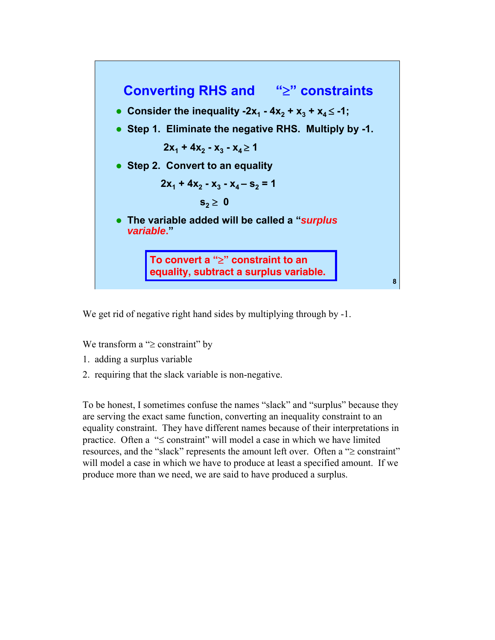

We get rid of negative right hand sides by multiplying through by  $-1$ .

We transform a "≥ constraint" by

- 1. adding a surplus variable
- 2. requiring that the slack variable is non-negative.

To be honest, I sometimes confuse the names "slack" and "surplus" because they are serving the exact same function, converting an inequality constraint to an equality constraint. They have different names because of their interpretations in practice. Often a "≤ constraint" will model a case in which we have limited resources, and the "slack" represents the amount left over. Often a "≥ constraint" will model a case in which we have to produce at least a specified amount. If we produce more than we need, we are said to have produced a surplus.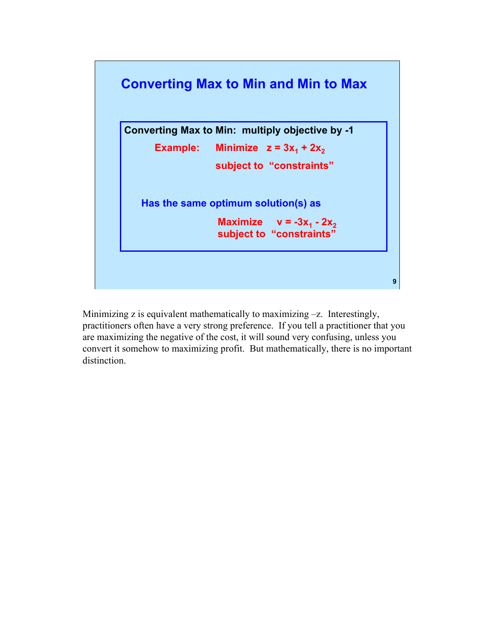

Minimizing z is equivalent mathematically to maximizing  $-z$ . Interestingly, practitioners often have a very strong preference. If you tell a practitioner that you are maximizing the negative of the cost, it will sound very confusing, unless you convert it somehow to maximizing profit. But mathematically, there is no important distinction.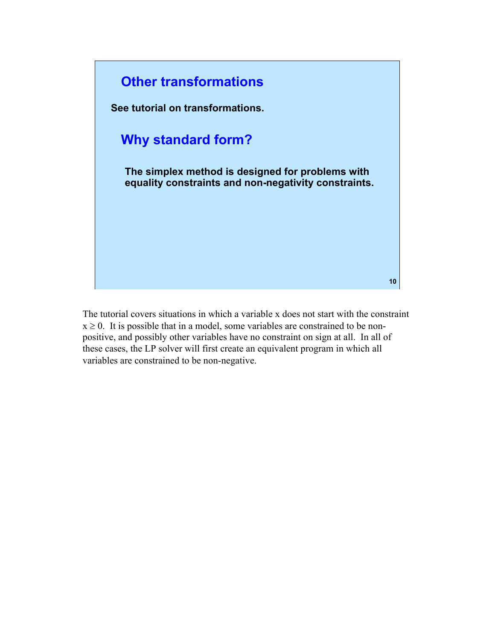

The tutorial covers situations in which a variable x does not start with the constraint  $x \ge 0$ . It is possible that in a model, some variables are constrained to be nonpositive, and possibly other variables have no constraint on sign at all. In all of these cases, the LP solver will first create an equivalent program in which all variables are constrained to be non-negative.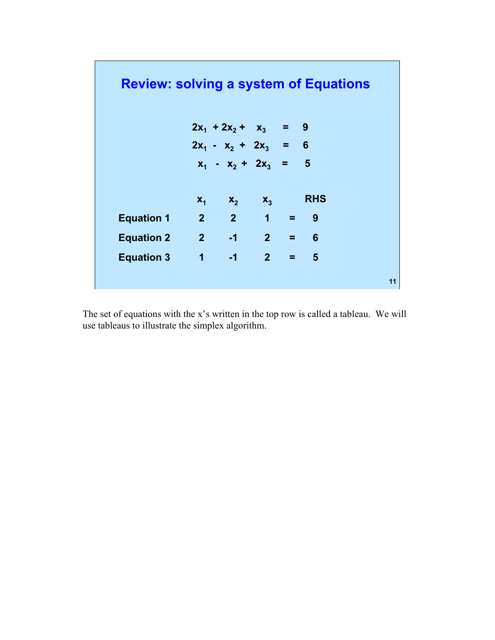| <b>Review: solving a system of Equations</b> |               |                         |  |            |    |
|----------------------------------------------|---------------|-------------------------|--|------------|----|
|                                              |               | $2x_1 + 2x_2 + x_3 = 9$ |  |            |    |
|                                              |               | $2x_1 - x_2 + 2x_3 = 6$ |  |            |    |
|                                              |               | $x_1 - x_2 + 2x_3 = 5$  |  |            |    |
|                                              | $X_1$         | $X_2$ $X_3$             |  | <b>RHS</b> |    |
| <b>Equation 1</b>                            | $2 \t2 \t1 =$ |                         |  | 9          |    |
| <b>Equation 2</b>                            | $2 -1 2 =$    |                         |  | 6          |    |
| Equation 3 $1 -1 2 =$                        |               |                         |  | 5          |    |
|                                              |               |                         |  |            | 11 |

The set of equations with the x's written in the top row is called a tableau. We will use tableaus to illustrate the simplex algorithm.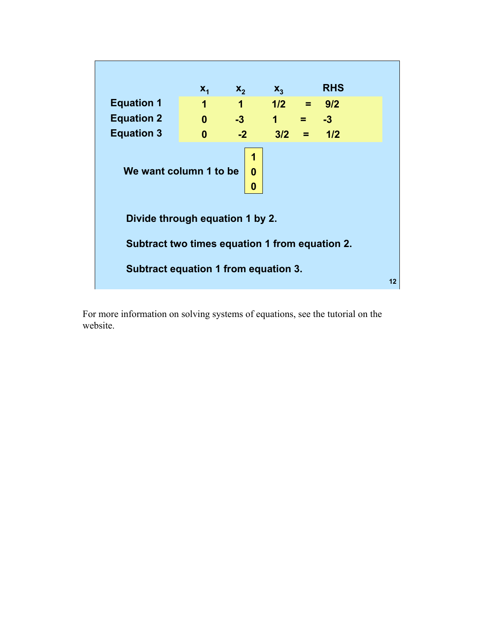

For more information on solving systems of equations, see the tutorial on the website.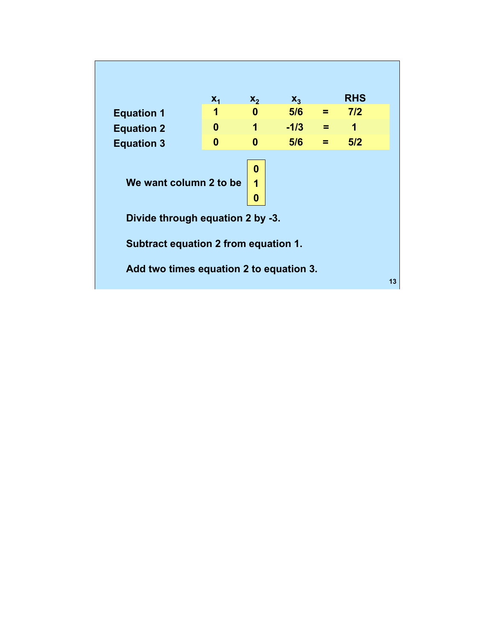|                                         | $X_1$                                | $X_{2}$     | $X_{2}$ |     | <b>RHS</b> |    |  |
|-----------------------------------------|--------------------------------------|-------------|---------|-----|------------|----|--|
| <b>Equation 1</b>                       | 1                                    | 0           | 5/6     | $=$ | 7/2        |    |  |
| <b>Equation 2</b>                       | 0                                    | 1           | $-1/3$  | Ξ.  | 1          |    |  |
| <b>Equation 3</b>                       | O                                    | n           | 5/6     | =   | 5/2        |    |  |
| We want column 2 to be                  |                                      | 0<br>1<br>0 |         |     |            |    |  |
| Divide through equation 2 by -3.        |                                      |             |         |     |            |    |  |
|                                         | Subtract equation 2 from equation 1. |             |         |     |            |    |  |
| Add two times equation 2 to equation 3. |                                      |             |         |     |            | 13 |  |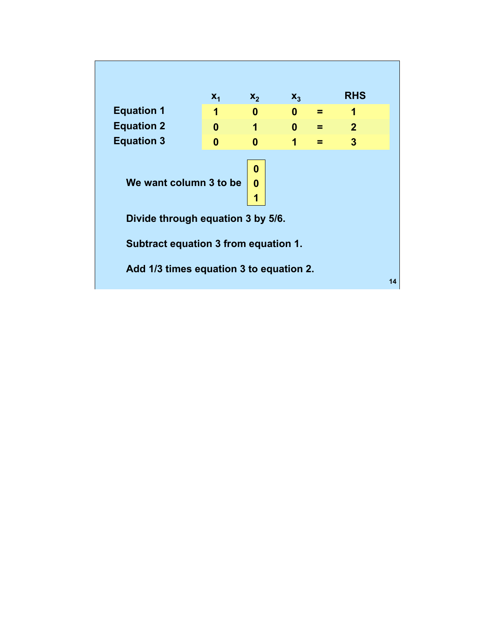|                                         | $X_1$ | $X_2$       | $X_3$    |   | <b>RHS</b>     |    |
|-----------------------------------------|-------|-------------|----------|---|----------------|----|
| <b>Equation 1</b>                       | 1     | 0           | $\bf{0}$ | Ξ | 1              |    |
| <b>Equation 2</b>                       | 0     | 1           | $\bf{0}$ | ≕ | $\overline{2}$ |    |
| <b>Equation 3</b>                       | 0     | 0           | 1        |   | 3              |    |
| We want column 3 to be                  |       | 0<br>0<br>1 |          |   |                |    |
| Divide through equation 3 by 5/6.       |       |             |          |   |                |    |
| Subtract equation 3 from equation 1.    |       |             |          |   |                |    |
| Add 1/3 times equation 3 to equation 2. |       |             |          |   |                | 14 |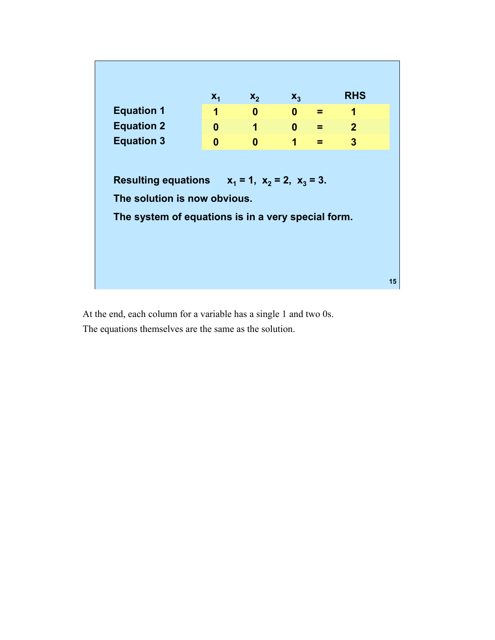|                                                         | $X_1$    | $X_2$        | $X_3$        |   | <b>RHS</b>     |  |
|---------------------------------------------------------|----------|--------------|--------------|---|----------------|--|
| <b>Equation 1</b>                                       | 1        | 0            | $\bf{0}$     | = | 1              |  |
| <b>Equation 2</b>                                       | $\bf{0}$ | 1            | $\mathbf{0}$ | = | $\overline{2}$ |  |
| <b>Equation 3</b>                                       | $\Omega$ | $\mathbf{0}$ | 1            | = | 3              |  |
| Resulting equations $x_1 = 1$ , $x_2 = 2$ , $x_3 = 3$ . |          |              |              |   |                |  |
|                                                         |          |              |              |   |                |  |
| The solution is now obvious.                            |          |              |              |   |                |  |
| The system of equations is in a very special form.      |          |              |              |   |                |  |
|                                                         |          |              |              |   |                |  |
|                                                         |          |              |              |   |                |  |

At the end, each column for a variable has a single 1 and two 0s. The equations themselves are the same as the solution.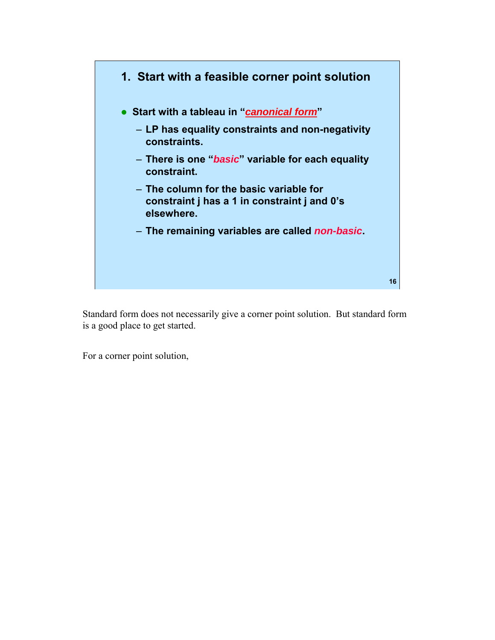

Standard form does not necessarily give a corner point solution. But standard form is a good place to get started.

For a corner point solution,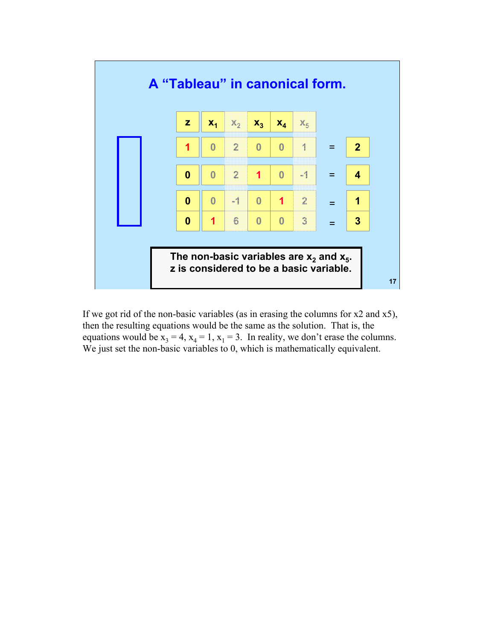

If we got rid of the non-basic variables (as in erasing the columns for x2 and x5), then the resulting equations would be the same as the solution. That is, the equations would be  $x_3 = 4$ ,  $x_4 = 1$ ,  $x_1 = 3$ . In reality, we don't erase the columns. We just set the non-basic variables to 0, which is mathematically equivalent.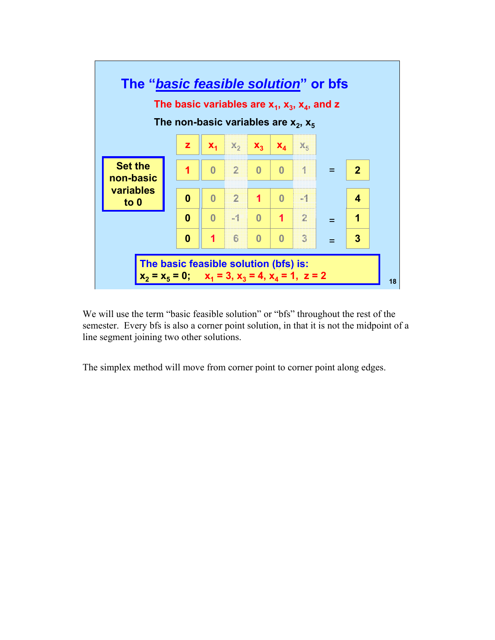

We will use the term "basic feasible solution" or "bfs" throughout the rest of the semester. Every bfs is also a corner point solution, in that it is not the midpoint of a line segment joining two other solutions.

The simplex method will move from corner point to corner point along edges.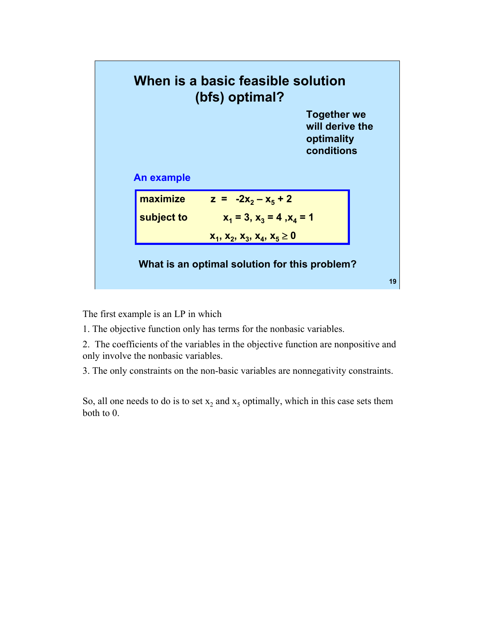

The first example is an LP in which

1. The objective function only has terms for the nonbasic variables.

2. The coefficients of the variables in the objective function are nonpositive and only involve the nonbasic variables.

3. The only constraints on the non-basic variables are nonnegativity constraints.

So, all one needs to do is to set  $x_2$  and  $x_5$  optimally, which in this case sets them both to 0.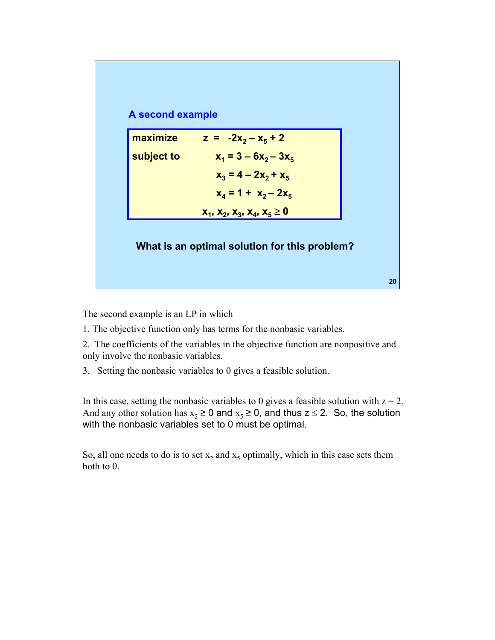

The second example is an LP in which

1. The objective function only has terms for the nonbasic variables.

2. The coefficients of the variables in the objective function are nonpositive and only involve the nonbasic variables.

3. Setting the nonbasic variables to 0 gives a feasible solution.

In this case, setting the nonbasic variables to 0 gives a feasible solution with  $z = 2$ . And any other solution has  $x_2 \ge 0$  and  $x_5 \ge 0$ , and thus  $z \le 2$ . So, the solution with the nonbasic variables set to 0 must be optimal.

So, all one needs to do is to set  $x_2$  and  $x_5$  optimally, which in this case sets them both to 0.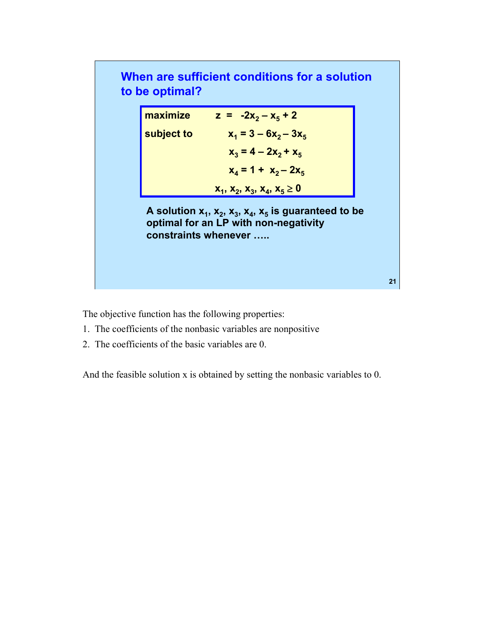### **When are sufficient conditions for a solution to be optimal?**

| maximize   | $z = -2x_2 - x_5 + 2$           |
|------------|---------------------------------|
| subject to | $x_1 = 3 - 6x_2 - 3x_5$         |
|            | $x_2 = 4 - 2x_2 + x_5$          |
|            | $x_4 = 1 + x_2 - 2x_5$          |
|            | $x_1, x_2, x_3, x_4, x_5 \ge 0$ |

A solution  $x_1, x_2, x_3, x_4, x_5$  is guaranteed to be **optimal for an LP with non-negativity constraints whenever …..** 

**21** 

The objective function has the following properties:

- 1. The coefficients of the nonbasic variables are nonpositive
- 2. The coefficients of the basic variables are 0.

And the feasible solution x is obtained by setting the nonbasic variables to 0.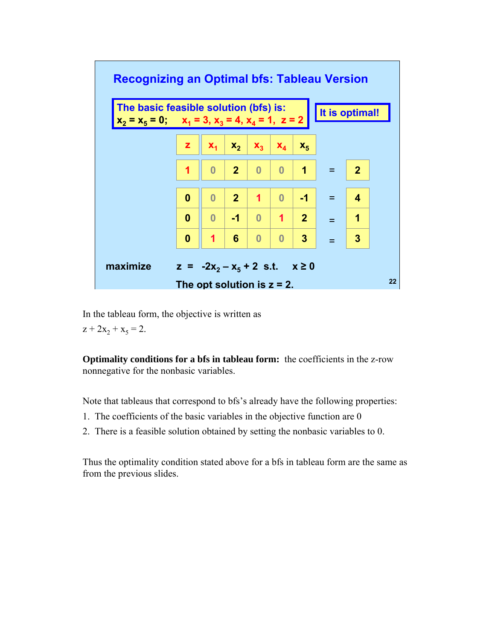

In the tableau form, the objective is written as

 $z + 2x_2 + x_5 = 2$ .

**Optimality conditions for a bfs in tableau form:** the coefficients in the z-row nonnegative for the nonbasic variables.

Note that tableaus that correspond to bfs's already have the following properties:

- 1. The coefficients of the basic variables in the objective function are 0
- 2. There is a feasible solution obtained by setting the nonbasic variables to 0.

Thus the optimality condition stated above for a bfs in tableau form are the same as from the previous slides.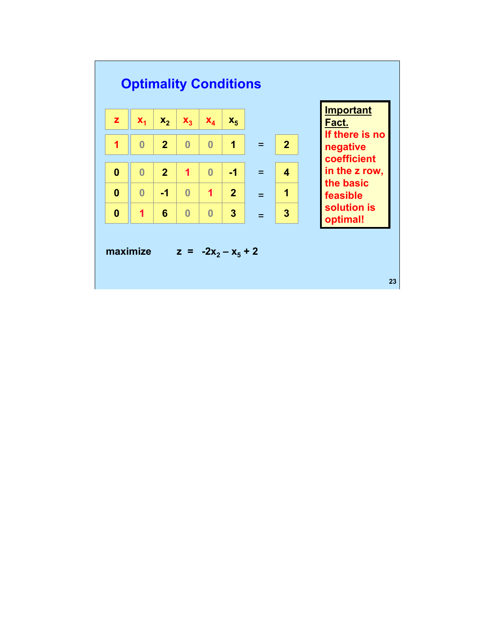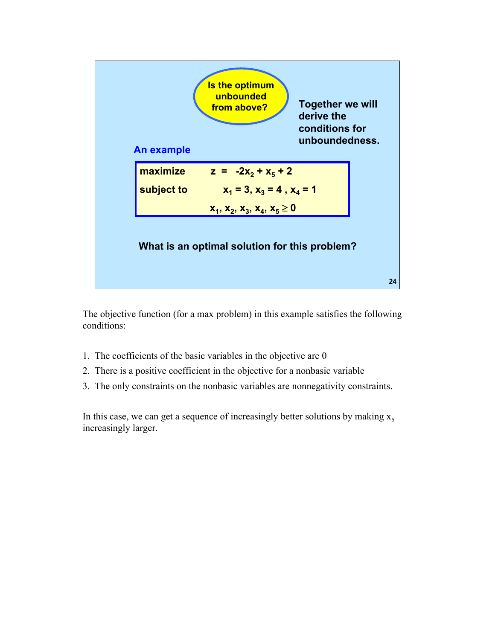

The objective function (for a max problem) in this example satisfies the following conditions:

- 1. The coefficients of the basic variables in the objective are 0
- 2. There is a positive coefficient in the objective for a nonbasic variable
- 3. The only constraints on the nonbasic variables are nonnegativity constraints.

In this case, we can get a sequence of increasingly better solutions by making  $x_5$ increasingly larger.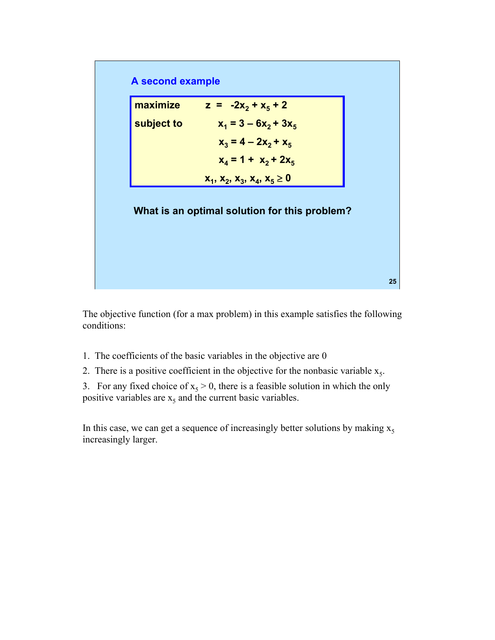### **A second example**

| maximize   | $z = -2x_2 + x_5 + 2$           |
|------------|---------------------------------|
| subject to | $x_1 = 3 - 6x_2 + 3x_5$         |
|            | $x_3 = 4 - 2x_2 + x_5$          |
|            | $x_4 = 1 + x_2 + 2x_5$          |
|            | $x_1, x_2, x_3, x_4, x_5 \ge 0$ |

#### **What is an optimal solution for this problem?**

The objective function (for a max problem) in this example satisfies the following conditions:

**25** 

- 1. The coefficients of the basic variables in the objective are 0
- 2. There is a positive coefficient in the objective for the nonbasic variable  $x_5$ .

3. For any fixed choice of  $x_5 > 0$ , there is a feasible solution in which the only positive variables are  $x<sub>5</sub>$  and the current basic variables.

In this case, we can get a sequence of increasingly better solutions by making  $x_5$ increasingly larger.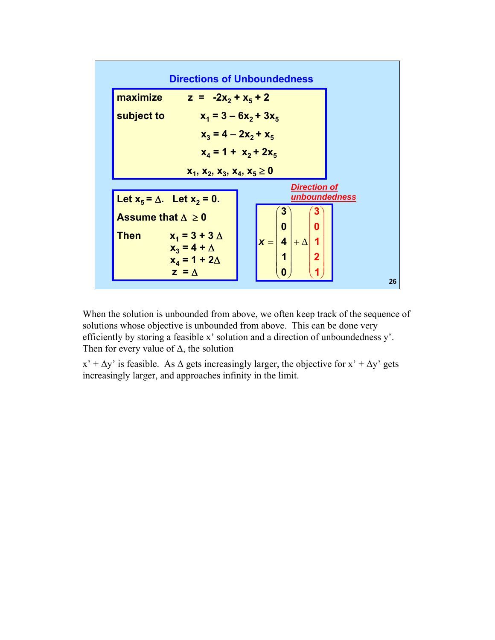

When the solution is unbounded from above, we often keep track of the sequence of solutions whose objective is unbounded from above. This can be done very efficiently by storing a feasible x' solution and a direction of unboundedness y'. Then for every value of  $\Delta$ , the solution

 $x' + \Delta y'$  is feasible. As  $\Delta$  gets increasingly larger, the objective for  $x' + \Delta y'$  gets increasingly larger, and approaches infinity in the limit.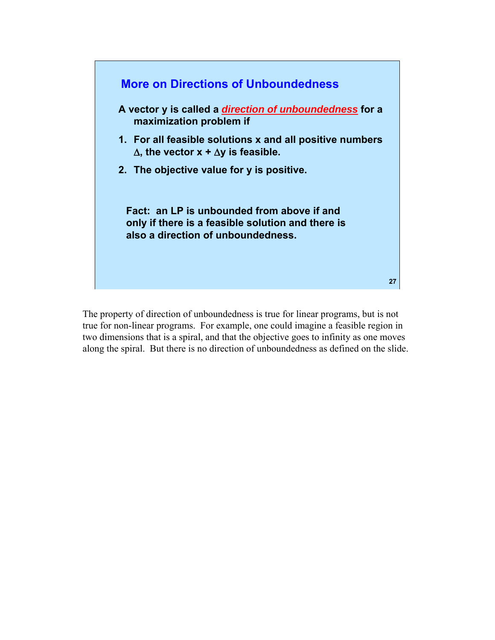

The property of direction of unboundedness is true for linear programs, but is not true for non-linear programs. For example, one could imagine a feasible region in two dimensions that is a spiral, and that the objective goes to infinity as one moves along the spiral. But there is no direction of unboundedness as defined on the slide.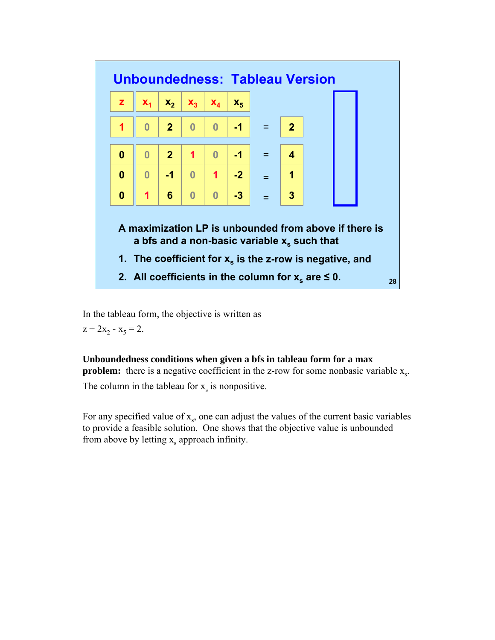

In the tableau form, the objective is written as

 $z + 2x_2 - x_5 = 2$ .

#### **Unboundedness conditions when given a bfs in tableau form for a max**

**problem:** there is a negative coefficient in the z-row for some nonbasic variable  $x_s$ . The column in the tableau for  $x_s$  is nonpositive.

For any specified value of  $x<sub>s</sub>$ , one can adjust the values of the current basic variables to provide a feasible solution. One shows that the objective value is unbounded from above by letting  $x_s$  approach infinity.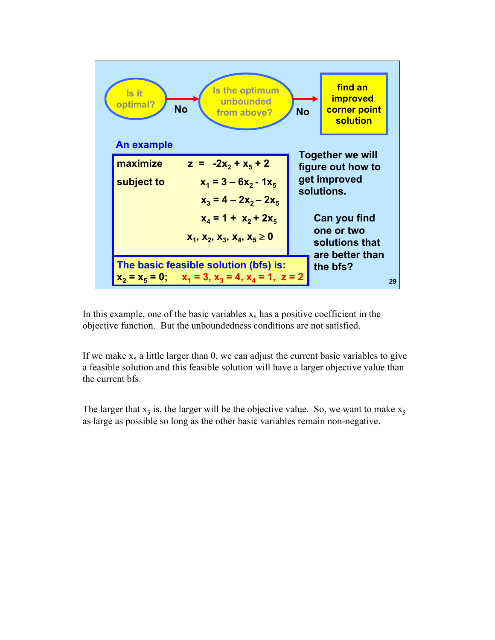

In this example, one of the basic variables  $x<sub>5</sub>$  has a positive coefficient in the objective function. But the unboundedness conditions are not satisfied.

If we make  $x<sub>5</sub>$  a little larger than 0, we can adjust the current basic variables to give a feasible solution and this feasible solution will have a larger objective value than the current bfs.

The larger that  $x_5$  is, the larger will be the objective value. So, we want to make  $x_5$ as large as possible so long as the other basic variables remain non-negative.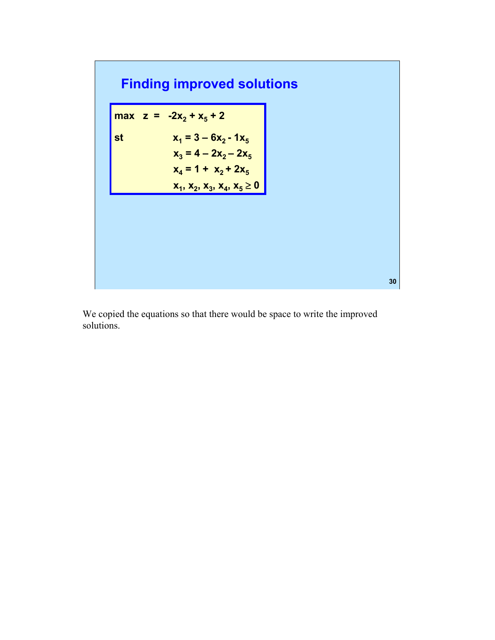# **Finding improved solutions**

**max**  $z = -2x_2 + x_5 + 2$ st  $x_1 = 3 - 6x_2 - 1x_5$  $x_3 = 4 - 2x_2 - 2x_5$  $x_4 = 1 + x_2 + 2x_5$ **x**<sub>1</sub>, **x**<sub>2</sub>, **x**<sub>3</sub>, **x**<sub>4</sub>, **x**<sub>5</sub>  $\geq$  0

We copied the equations so that there would be space to write the improved solutions.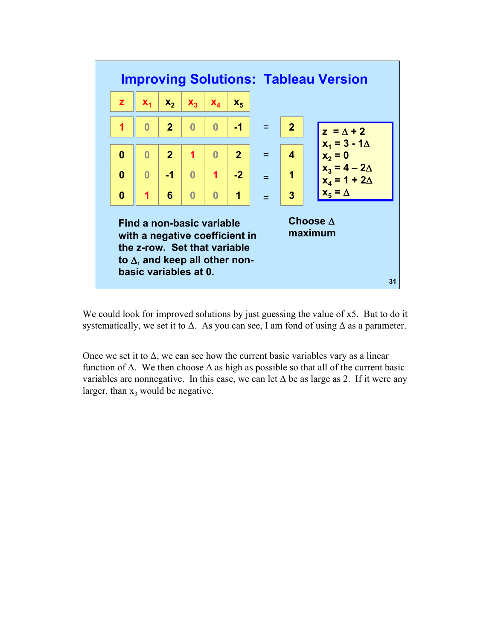

We could look for improved solutions by just guessing the value of x5. But to do it systematically, we set it to  $\Delta$ . As you can see, I am fond of using  $\Delta$  as a parameter.

Once we set it to  $\Delta$ , we can see how the current basic variables vary as a linear function of  $\Delta$ . We then choose  $\Delta$  as high as possible so that all of the current basic variables are nonnegative. In this case, we can let  $\Delta$  be as large as 2. If it were any larger, than  $x_3$  would be negative.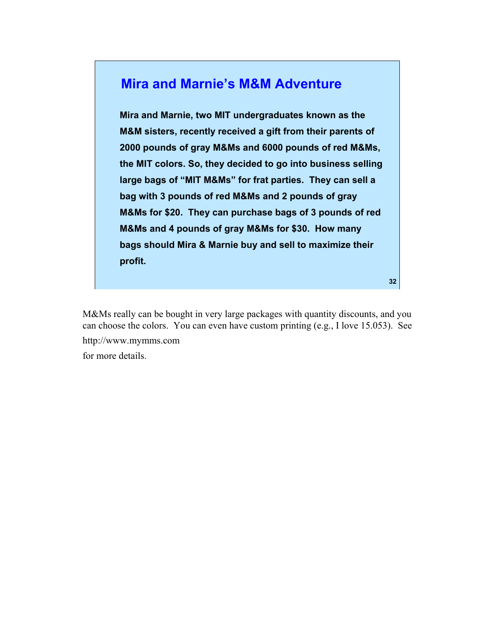### **Mira and Marnie's M&M Adventure**

**Mira and Marnie, two MIT undergraduates known as the M&M sisters, recently received a gift from their parents of 2000 pounds of gray M&Ms and 6000 pounds of red M&Ms, the MIT colors. So, they decided to go into business selling large bags of "MIT M&Ms" for frat parties. They can sell a bag with 3 pounds of red M&Ms and 2 pounds of gray M&Ms for \$20. They can purchase bags of 3 pounds of red M&Ms and 4 pounds of gray M&Ms for \$30. How many bags should Mira & Marnie buy and sell to maximize their profit.** 

M&Ms really can be bought in very large packages with quantity discounts, and you can choose the colors. You can even have custom printing (e.g., I love 15.053). See http://www.mymms.com for more details.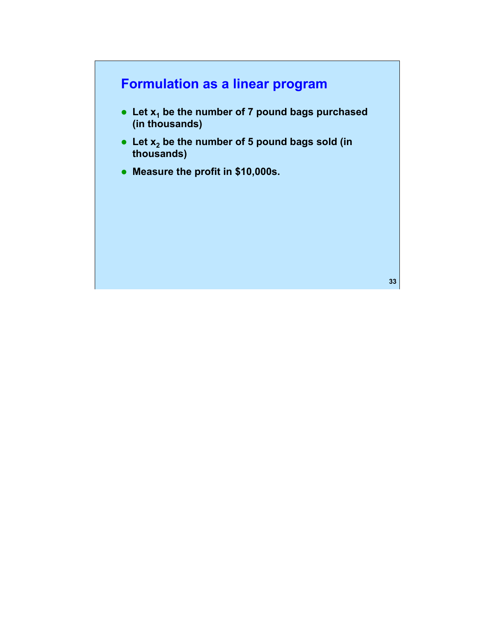# **Formulation as a linear program**

- Let  $x_1$  be the number of 7 pound bags purchased **(in thousands)**
- Let x<sub>2</sub> be the number of 5 pound bags sold (in **thousands)**
- **Measure the profit in \$10,000s.**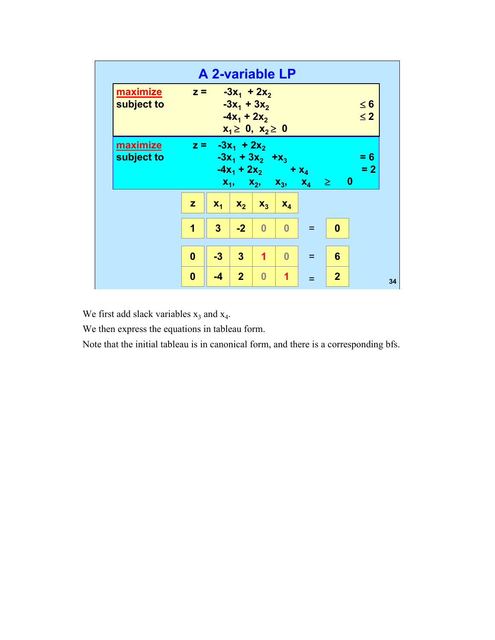|                        | $\leq 6$<br>$\leq 2$                                       | $= 6$<br>$= 2$             |              |          |                | 34             |
|------------------------|------------------------------------------------------------|----------------------------|--------------|----------|----------------|----------------|
|                        |                                                            |                            |              | 0        | 6              | $\overline{2}$ |
|                        |                                                            | $x_1, x_2, x_3, x_4 \ge 0$ |              | $=$      | Ξ              | $=$            |
|                        |                                                            | $-4x_1 + 2x_2 + x_4$       | $X_4$        | $\bf{0}$ | $\bf{0}$       | 1              |
|                        |                                                            |                            | $X_3$        | $\bf{0}$ | $\overline{1}$ | $\bf{0}$       |
|                        | $-3x_1 + 3x_2$<br>$-4x_1 + 2x_2$<br>$x_1 \ge 0, x_2 \ge 0$ | $-3x_1 + 3x_2 + x_3$       | $X_2$        | $-2$     | $\overline{3}$ | 2 <sup>1</sup> |
| <b>A 2-variable LP</b> | $z = -3x_1 + 2x_2$                                         | $z = -3x_1 + 2x_2$         | $X_1$        | 3        | $-3$           | $-4$           |
|                        |                                                            |                            | $\mathbf{z}$ | 1        | $\bf{0}$       | 0              |
|                        | maximize<br>subject to                                     | maximize<br>subject to     |              |          |                |                |
|                        |                                                            |                            |              |          |                |                |

We first add slack variables  $x_3$  and  $x_4$ .

We then express the equations in tableau form.

Note that the initial tableau is in canonical form, and there is a corresponding bfs.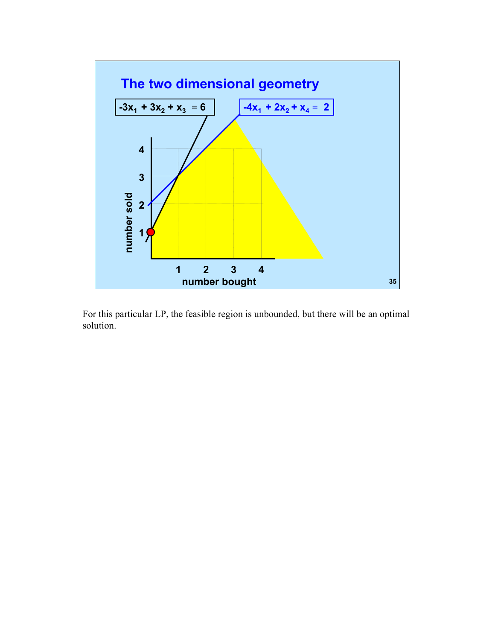

For this particular LP, the feasible region is unbounded, but there will be an optimal solution.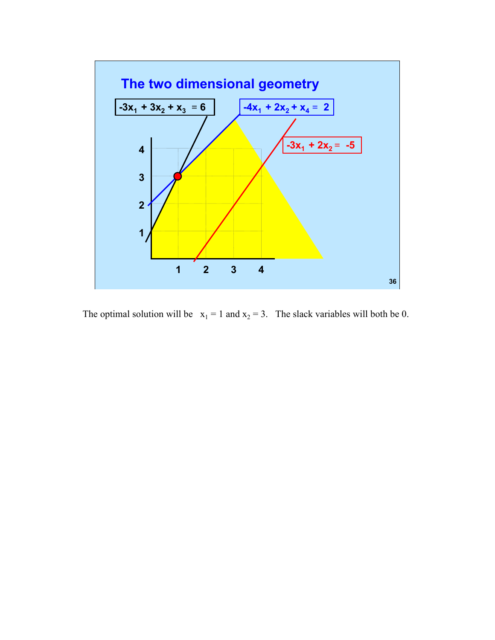

The optimal solution will be  $x_1 = 1$  and  $x_2 = 3$ . The slack variables will both be 0.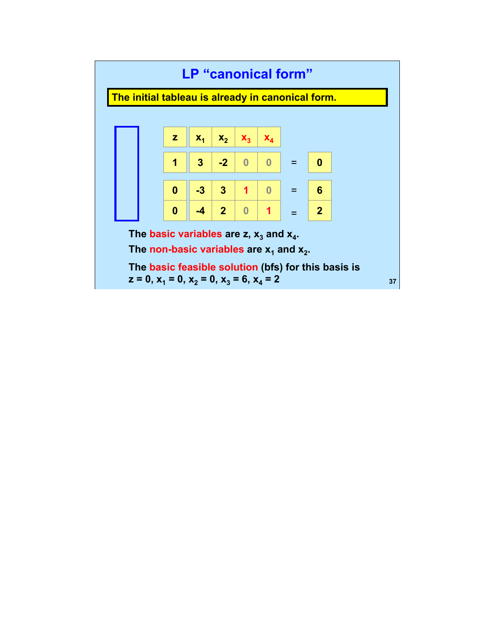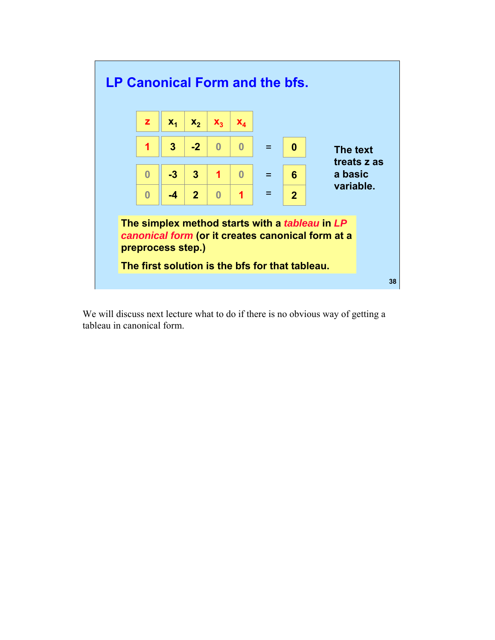

We will discuss next lecture what to do if there is no obvious way of getting a tableau in canonical form.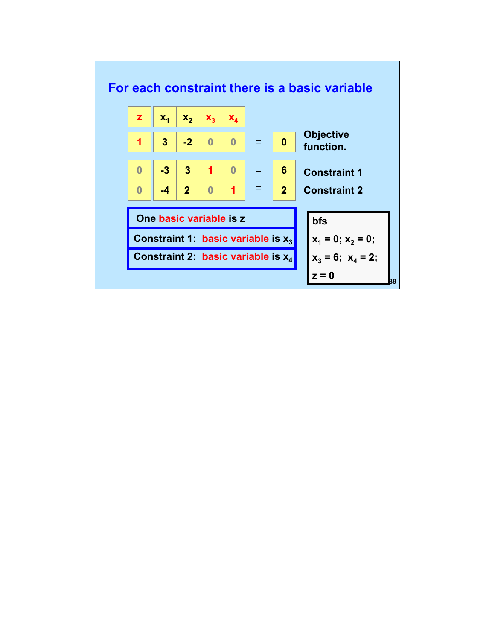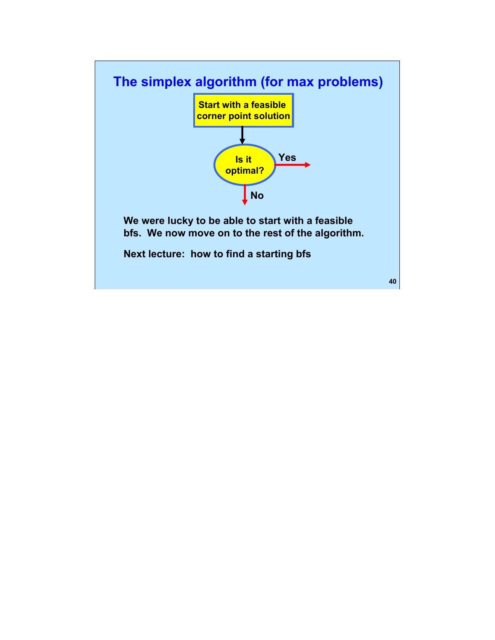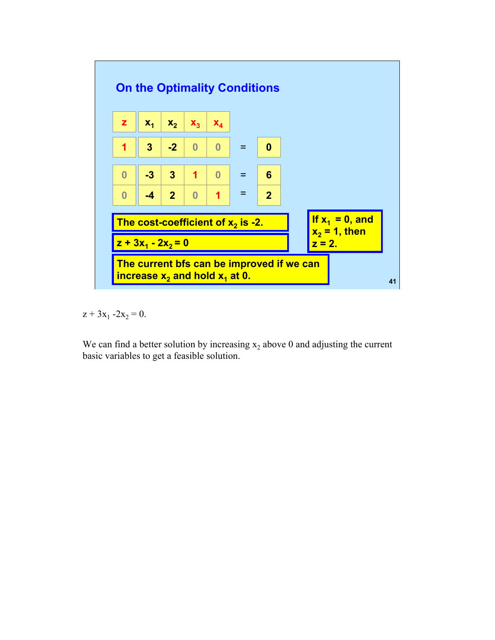

 $z + 3x_1 - 2x_2 = 0.$ 

We can find a better solution by increasing  $x_2$  above 0 and adjusting the current basic variables to get a feasible solution.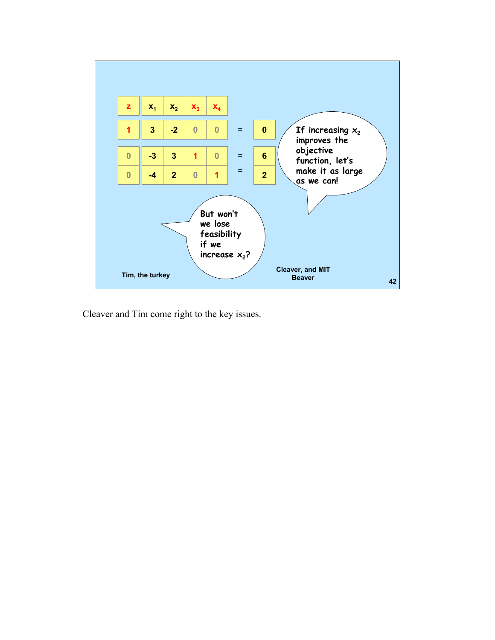

Cleaver and Tim come right to the key issues.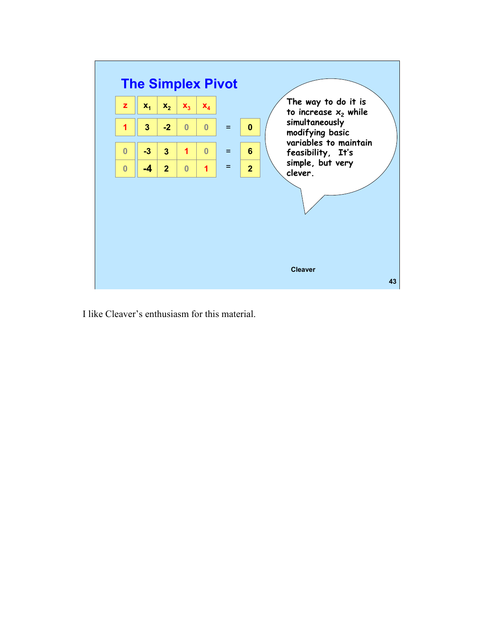

I like Cleaver's enthusiasm for this material.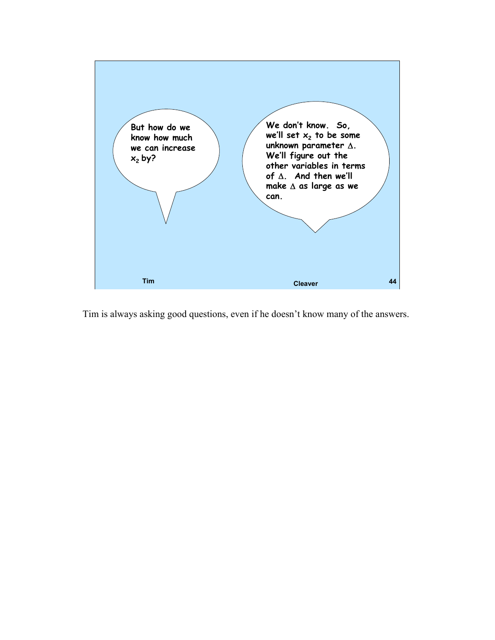

Tim is always asking good questions, even if he doesn't know many of the answers.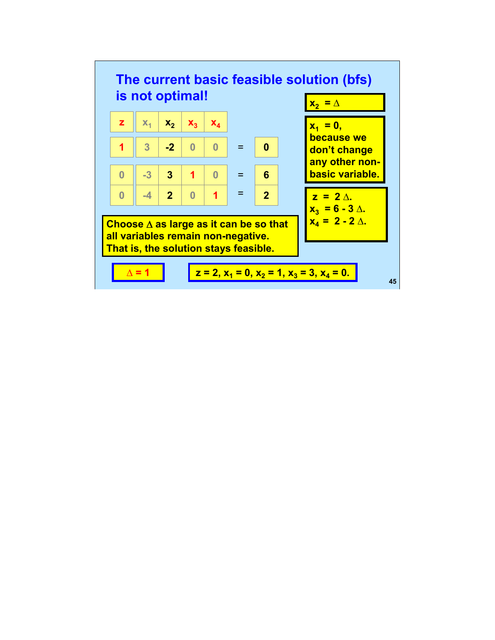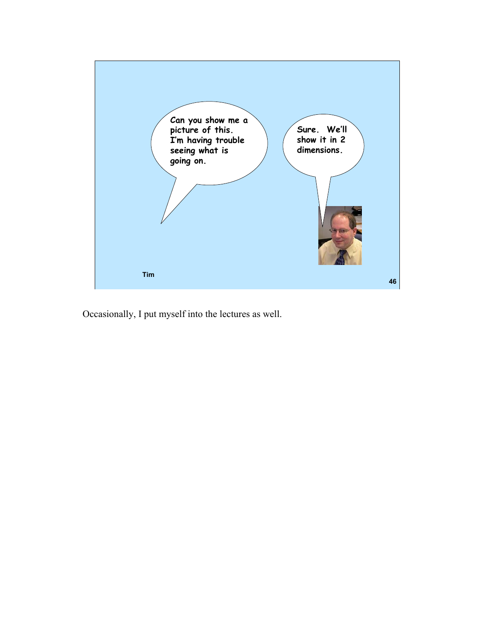

Occasionally, I put myself into the lectures as well.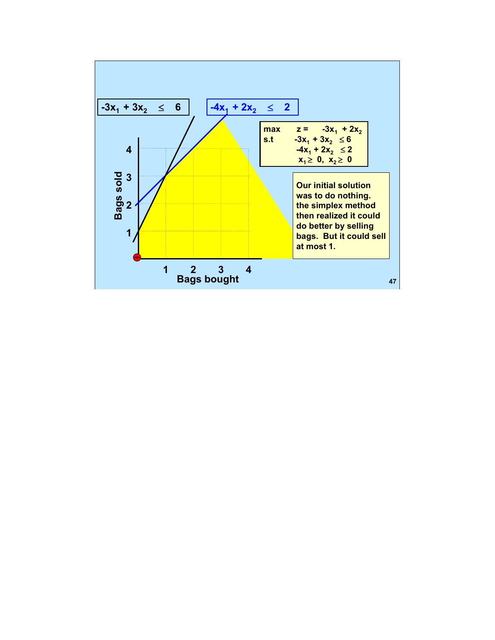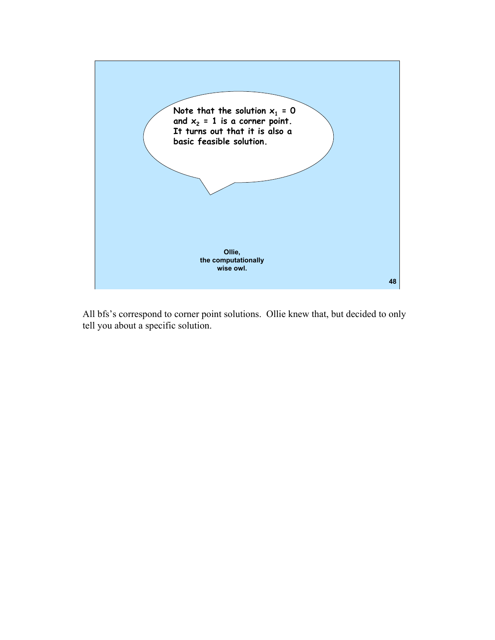

All bfs's correspond to corner point solutions. Ollie knew that, but decided to only tell you about a specific solution.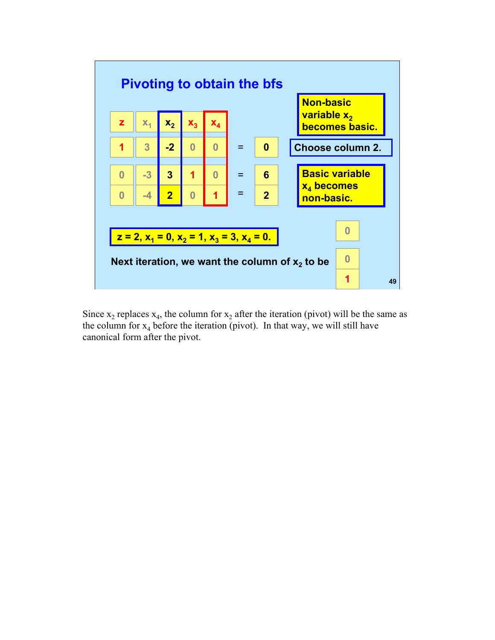

Since  $x_2$  replaces  $x_4$ , the column for  $x_2$  after the iteration (pivot) will be the same as the column for  $x_4$  before the iteration (pivot). In that way, we will still have canonical form after the pivot.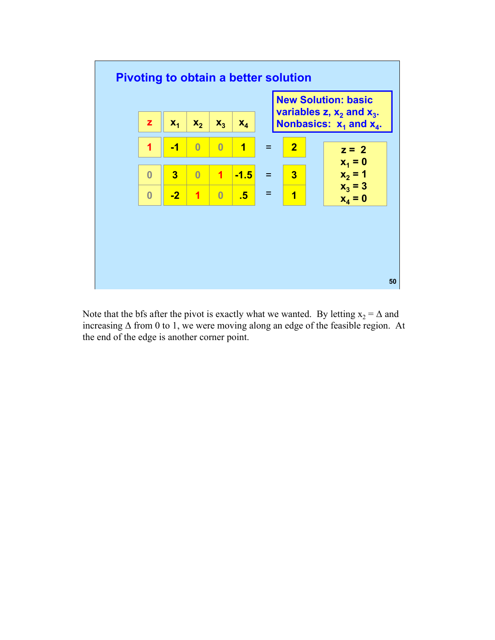

Note that the bfs after the pivot is exactly what we wanted. By letting  $x_2 = \Delta$  and increasing Δ from 0 to 1, we were moving along an edge of the feasible region. At the end of the edge is another corner point.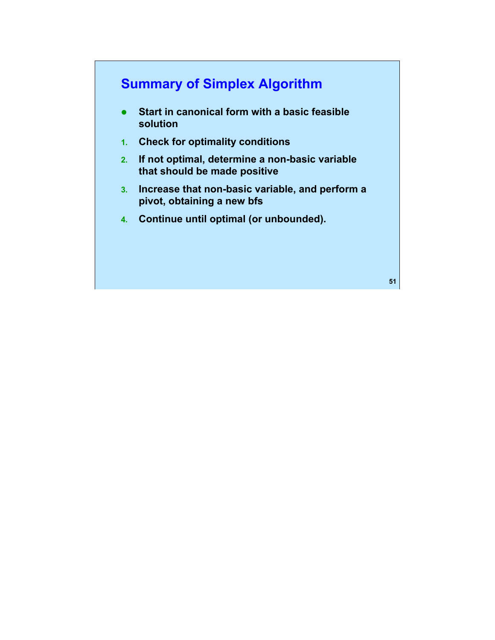# **Summary of Simplex Algorithm**

- **•** Start in canonical form with a basic feasible **solution**
- **1. Check for optimality conditions**
- **2. If not optimal, determine a non-basic variable that should be made positive**
- **3. Increase that non-basic variable, and perform a pivot, obtaining a new bfs**
- **4. Continue until optimal (or unbounded).**

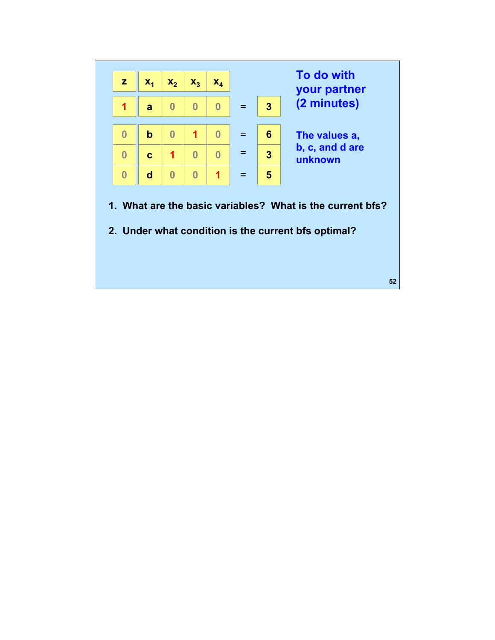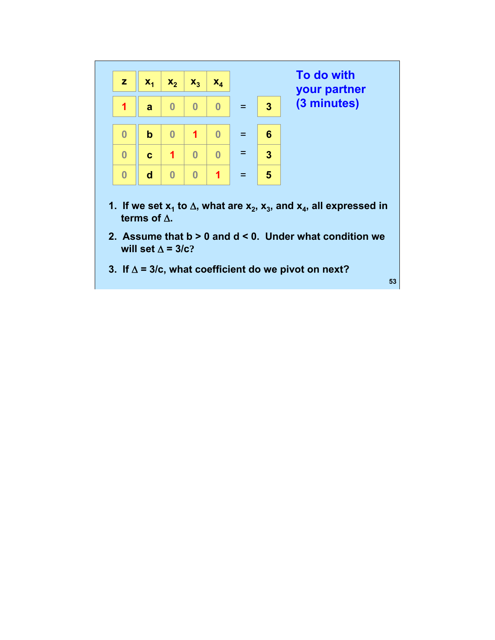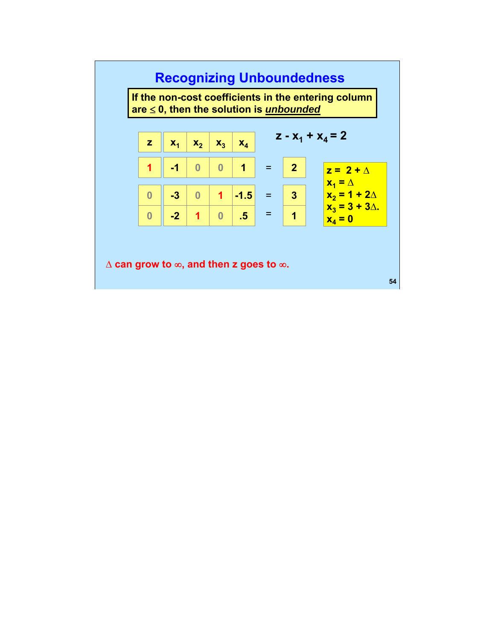# **Recognizing Unboundedness**

**If the non-cost coefficients in the entering column are** ≤ **0, then the solution is** *unbounded* 

| $\mathbf{Z}$ | $X_1$ | $x_2$ | $\mathbf{x}_3$          | $\mathbf{x}_4$ |                | $2 - X_1 + X_4 = 2$                   |
|--------------|-------|-------|-------------------------|----------------|----------------|---------------------------------------|
|              | $-1$  |       | $\overline{\mathbf{0}}$ | $\blacksquare$ | $\overline{2}$ | $z = 2 + \Delta$                      |
|              | $-3$  |       | $\overline{1}$          | $-1.5$         | 3              | $X_1 = \Delta$<br>$x_2 = 1 + 2\Delta$ |
|              | $-2$  |       |                         | .5             |                | $x_3 = 3 + 3\Delta$ .<br>$x_4 = 0$    |

Δ **can grow to** ∞**, and then z goes to** ∞**.**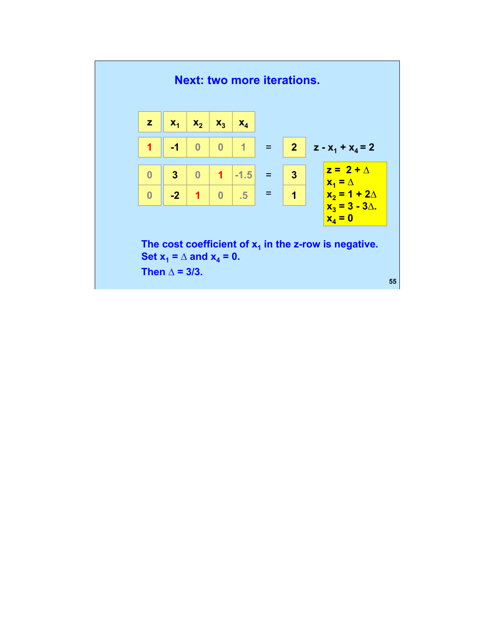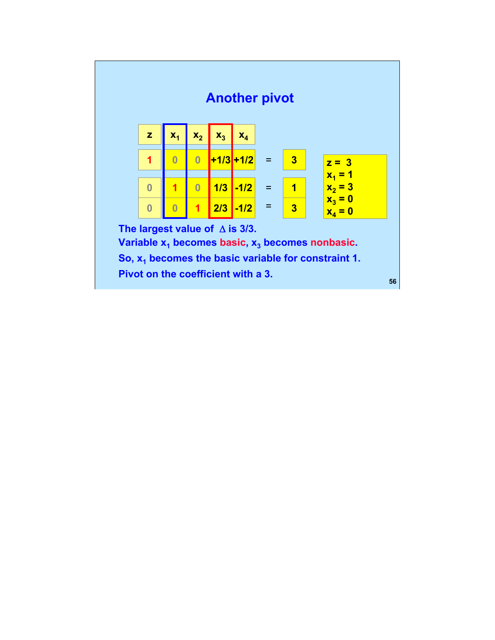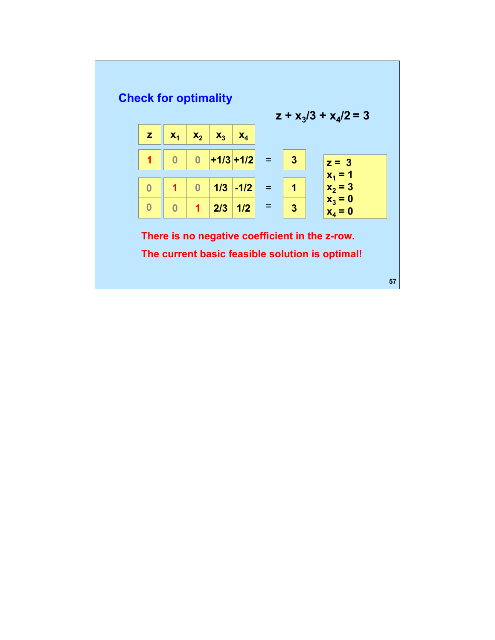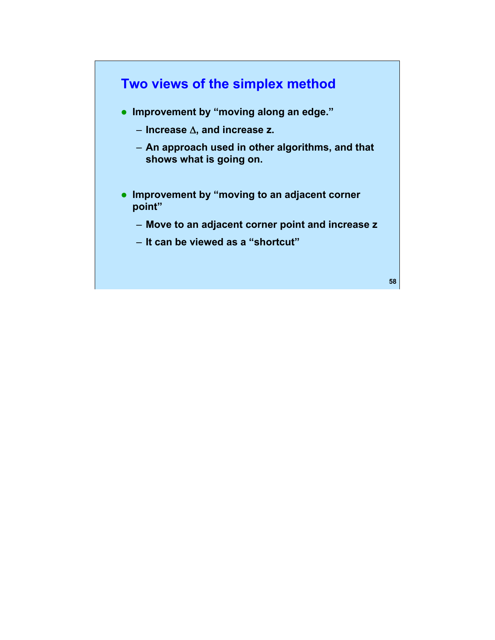

- **Improvement by "moving along an edge."** 
	- **Increase** Δ**, and increase z.**
	- **An approach used in other algorithms, and that shows what is going on.**
- **Improvement by "moving to an adjacent corner point"** 
	- **Move to an adjacent corner point and increase z**
	- **It can be viewed as a "shortcut"**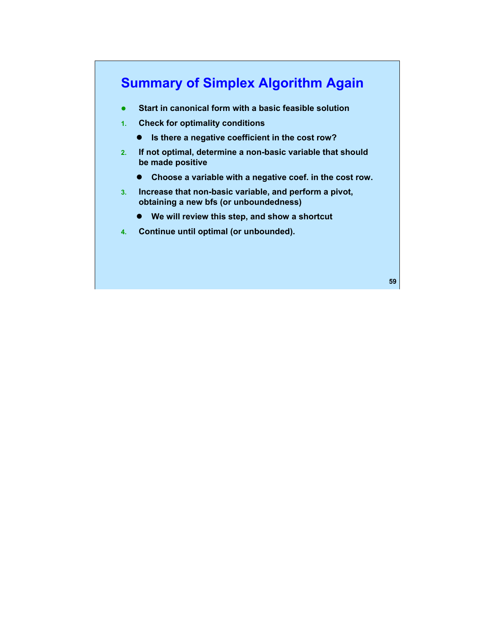# **Summary of Simplex Algorithm Again**

- **•** Start in canonical form with a basic feasible solution
- **1. Check for optimality conditions** 
	- **•** Is there a negative coefficient in the cost row?
- **2. If not optimal, determine a non-basic variable that should be made positive** 
	- **•** Choose a variable with a negative coef. in the cost row.
- **3. Increase that non-basic variable, and perform a pivot, obtaining a new bfs (or unboundedness)** 
	- **•** We will review this step, and show a shortcut
- **4. Continue until optimal (or unbounded).**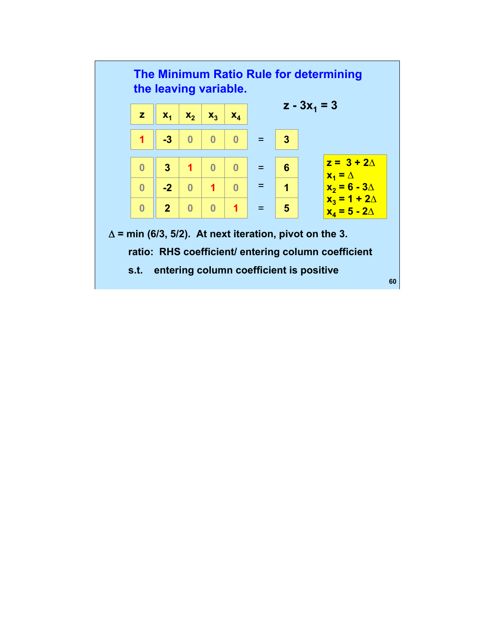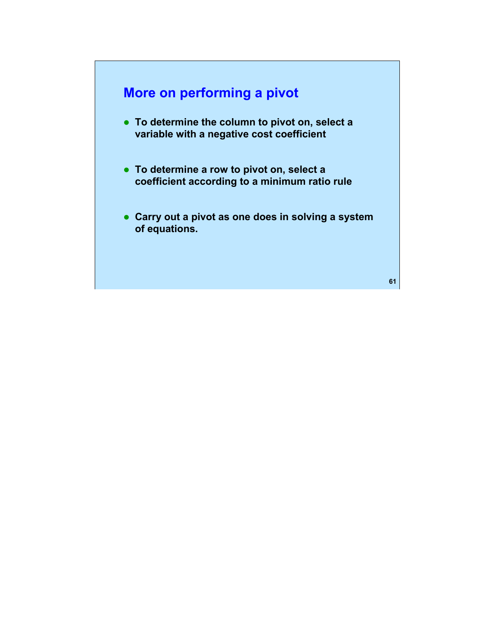## **More on performing a pivot**

- **To determine the column to pivot on, select a variable with a negative cost coefficient**
- **To determine a row to pivot on, select a coefficient according to a minimum ratio rule**
- **Carry out a pivot as one does in solving a system of equations.**